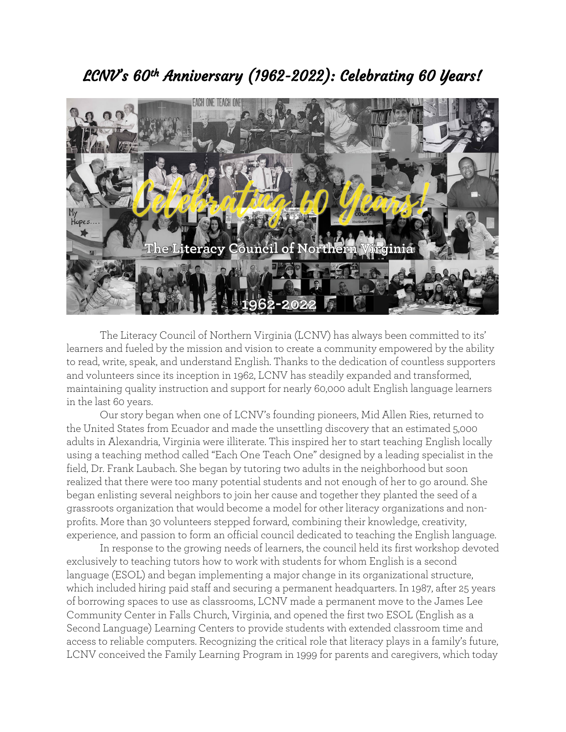## LCNV's 60th Anniversary (1962-2022): Celebrating 60 Years!



The Literacy Council of Northern Virginia (LCNV) has always been committed to its' learners and fueled by the mission and vision to create a community empowered by the ability to read, write, speak, and understand English. Thanks to the dedication of countless supporters and volunteers since its inception in 1962, LCNV has steadily expanded and transformed, maintaining quality instruction and support for nearly 60,000 adult English language learners in the last 60 years.

Our story began when one of LCNV's founding pioneers, Mid Allen Ries, returned to the United States from Ecuador and made the unsettling discovery that an estimated 5,000 adults in Alexandria, Virginia were illiterate. This inspired her to start teaching English locally using a teaching method called "Each One Teach One" designed by a leading specialist in the field, Dr. Frank Laubach. She began by tutoring two adults in the neighborhood but soon realized that there were too many potential students and not enough of her to go around. She began enlisting several neighbors to join her cause and together they planted the seed of a grassroots organization that would become a model for other literacy organizations and nonprofits. More than 30 volunteers stepped forward, combining their knowledge, creativity, experience, and passion to form an official council dedicated to teaching the English language.

In response to the growing needs of learners, the council held its first workshop devoted exclusively to teaching tutors how to work with students for whom English is a second language (ESOL) and began implementing a major change in its organizational structure, which included hiring paid staff and securing a permanent headquarters. In 1987, after 25 years of borrowing spaces to use as classrooms, LCNV made a permanent move to the James Lee Community Center in Falls Church, Virginia, and opened the first two ESOL (English as a Second Language) Learning Centers to provide students with extended classroom time and access to reliable computers. Recognizing the critical role that literacy plays in a family's future, LCNV conceived the Family Learning Program in 1999 for parents and caregivers, which today